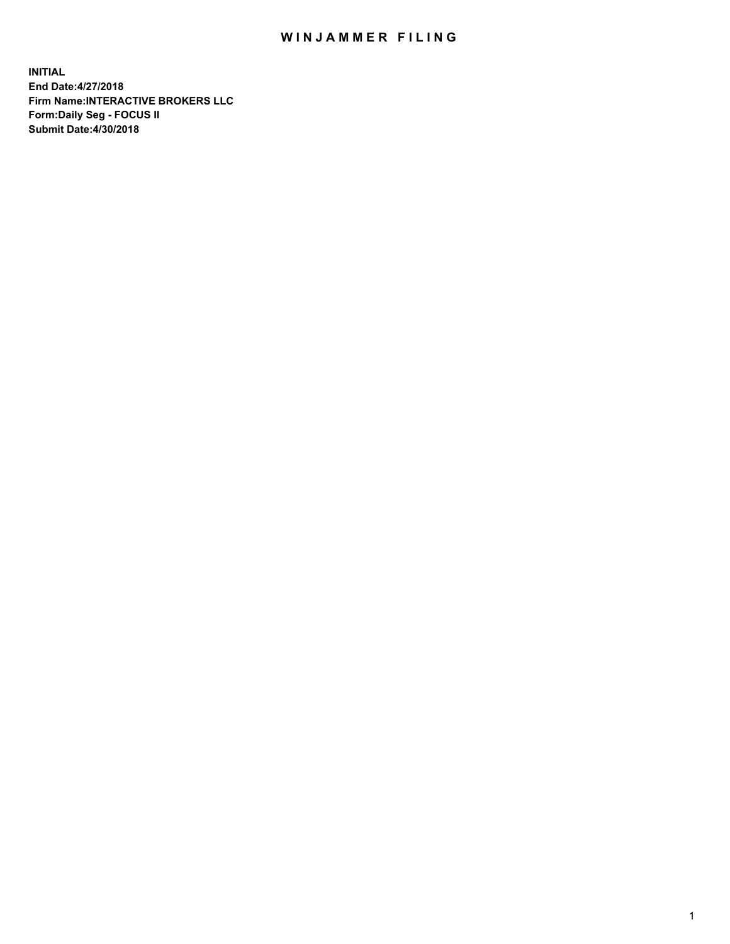## WIN JAMMER FILING

**INITIAL End Date:4/27/2018 Firm Name:INTERACTIVE BROKERS LLC Form:Daily Seg - FOCUS II Submit Date:4/30/2018**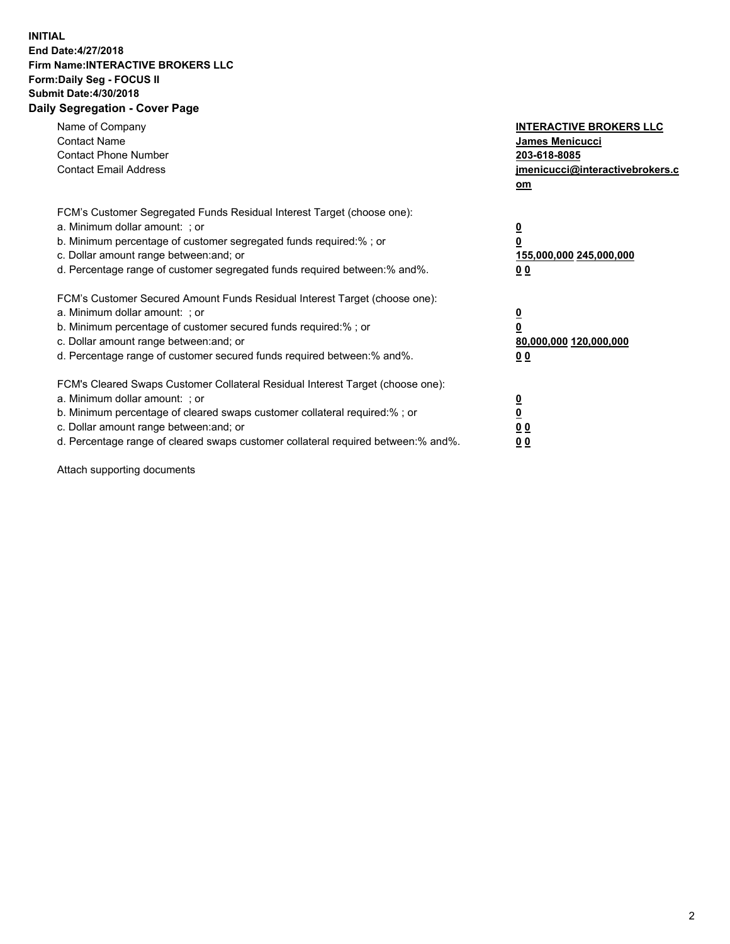## **INITIAL End Date:4/27/2018 Firm Name:INTERACTIVE BROKERS LLC Form:Daily Seg - FOCUS II Submit Date:4/30/2018 Daily Segregation - Cover Page**

| Name of Company<br><b>Contact Name</b><br><b>Contact Phone Number</b><br><b>Contact Email Address</b>                                                                                                                                                                                                                          | <b>INTERACTIVE BROKERS LLC</b><br>James Menicucci<br>203-618-8085<br>jmenicucci@interactivebrokers.c<br>om |
|--------------------------------------------------------------------------------------------------------------------------------------------------------------------------------------------------------------------------------------------------------------------------------------------------------------------------------|------------------------------------------------------------------------------------------------------------|
| FCM's Customer Segregated Funds Residual Interest Target (choose one):<br>a. Minimum dollar amount: ; or<br>b. Minimum percentage of customer segregated funds required:%; or<br>c. Dollar amount range between: and; or<br>d. Percentage range of customer segregated funds required between:% and%.                          | $\overline{\mathbf{0}}$<br>0<br>155,000,000 245,000,000<br>0 <sub>0</sub>                                  |
| FCM's Customer Secured Amount Funds Residual Interest Target (choose one):<br>a. Minimum dollar amount: ; or<br>b. Minimum percentage of customer secured funds required:%; or<br>c. Dollar amount range between: and; or<br>d. Percentage range of customer secured funds required between:% and%.                            | $\overline{\mathbf{0}}$<br>$\overline{\mathbf{0}}$<br>80,000,000 120,000,000<br>00                         |
| FCM's Cleared Swaps Customer Collateral Residual Interest Target (choose one):<br>a. Minimum dollar amount: ; or<br>b. Minimum percentage of cleared swaps customer collateral required:% ; or<br>c. Dollar amount range between: and; or<br>d. Percentage range of cleared swaps customer collateral required between:% and%. | $\overline{\mathbf{0}}$<br>$\overline{\mathbf{0}}$<br>0 <sub>0</sub><br><u>00</u>                          |

Attach supporting documents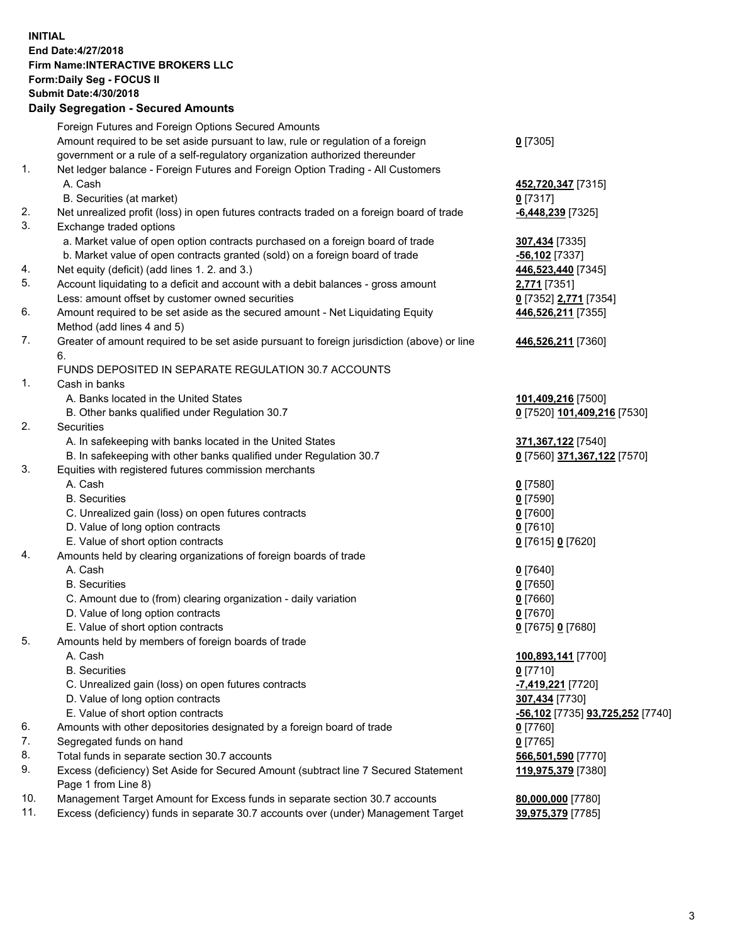## **INITIAL End Date:4/27/2018 Firm Name:INTERACTIVE BROKERS LLC Form:Daily Seg - FOCUS II Submit Date:4/30/2018 Daily Segregation - Secured Amounts**

|     | Daily Jegregation - Jeculed Aniounts                                                        |                                  |
|-----|---------------------------------------------------------------------------------------------|----------------------------------|
|     | Foreign Futures and Foreign Options Secured Amounts                                         |                                  |
|     | Amount required to be set aside pursuant to law, rule or regulation of a foreign            | $0$ [7305]                       |
|     | government or a rule of a self-regulatory organization authorized thereunder                |                                  |
| 1.  | Net ledger balance - Foreign Futures and Foreign Option Trading - All Customers             |                                  |
|     | A. Cash                                                                                     | 452,720,347 [7315]               |
|     | B. Securities (at market)                                                                   | $0$ [7317]                       |
| 2.  | Net unrealized profit (loss) in open futures contracts traded on a foreign board of trade   | -6,448,239 [7325]                |
| 3.  | Exchange traded options                                                                     |                                  |
|     | a. Market value of open option contracts purchased on a foreign board of trade              | 307,434 [7335]                   |
|     | b. Market value of open contracts granted (sold) on a foreign board of trade                | $-56,102$ [7337]                 |
| 4.  | Net equity (deficit) (add lines 1.2. and 3.)                                                | 446,523,440 [7345]               |
| 5.  | Account liquidating to a deficit and account with a debit balances - gross amount           | 2,771 [7351]                     |
|     | Less: amount offset by customer owned securities                                            | 0 [7352] 2,771 [7354]            |
| 6.  |                                                                                             |                                  |
|     | Amount required to be set aside as the secured amount - Net Liquidating Equity              | 446,526,211 [7355]               |
|     | Method (add lines 4 and 5)                                                                  |                                  |
| 7.  | Greater of amount required to be set aside pursuant to foreign jurisdiction (above) or line | 446,526,211 [7360]               |
|     | 6.                                                                                          |                                  |
|     | FUNDS DEPOSITED IN SEPARATE REGULATION 30.7 ACCOUNTS                                        |                                  |
| 1.  | Cash in banks                                                                               |                                  |
|     | A. Banks located in the United States                                                       | 101,409,216 [7500]               |
|     | B. Other banks qualified under Regulation 30.7                                              | 0 [7520] 101,409,216 [7530]      |
| 2.  | Securities                                                                                  |                                  |
|     | A. In safekeeping with banks located in the United States                                   | 371,367,122 [7540]               |
|     | B. In safekeeping with other banks qualified under Regulation 30.7                          | 0 [7560] 371,367,122 [7570]      |
| 3.  | Equities with registered futures commission merchants                                       |                                  |
|     | A. Cash                                                                                     | $0$ [7580]                       |
|     | <b>B.</b> Securities                                                                        | $0$ [7590]                       |
|     | C. Unrealized gain (loss) on open futures contracts                                         | $0$ [7600]                       |
|     | D. Value of long option contracts                                                           | $0$ [7610]                       |
|     | E. Value of short option contracts                                                          | 0 [7615] 0 [7620]                |
| 4.  | Amounts held by clearing organizations of foreign boards of trade                           |                                  |
|     | A. Cash                                                                                     | $0$ [7640]                       |
|     | <b>B.</b> Securities                                                                        | $0$ [7650]                       |
|     | C. Amount due to (from) clearing organization - daily variation                             | $0$ [7660]                       |
|     | D. Value of long option contracts                                                           | $0$ [7670]                       |
|     | E. Value of short option contracts                                                          | 0 [7675] 0 [7680]                |
| 5.  | Amounts held by members of foreign boards of trade                                          |                                  |
|     | A. Cash                                                                                     | 100,893,141 [7700]               |
|     | <b>B.</b> Securities                                                                        | $0$ [7710]                       |
|     | C. Unrealized gain (loss) on open futures contracts                                         | -7,419,221 [7720]                |
|     | D. Value of long option contracts                                                           | 307,434 [7730]                   |
|     | E. Value of short option contracts                                                          | -56,102 [7735] 93,725,252 [7740] |
| 6.  | Amounts with other depositories designated by a foreign board of trade                      | 0 [7760]                         |
| 7.  | Segregated funds on hand                                                                    | $0$ [7765]                       |
| 8.  | Total funds in separate section 30.7 accounts                                               | 566,501,590 [7770]               |
| 9.  | Excess (deficiency) Set Aside for Secured Amount (subtract line 7 Secured Statement         | 119,975,379 [7380]               |
|     | Page 1 from Line 8)                                                                         |                                  |
| 10. | Management Target Amount for Excess funds in separate section 30.7 accounts                 | 80,000,000 [7780]                |
| 11. | Excess (deficiency) funds in separate 30.7 accounts over (under) Management Target          | 39,975,379 [7785]                |
|     |                                                                                             |                                  |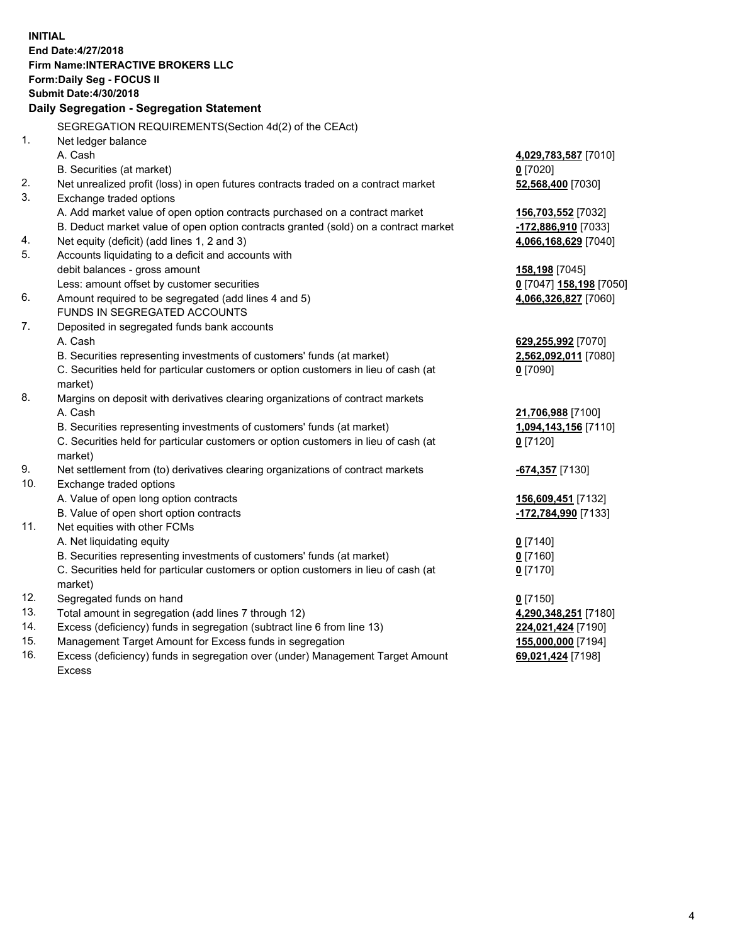**INITIAL End Date:4/27/2018 Firm Name:INTERACTIVE BROKERS LLC Form:Daily Seg - FOCUS II Submit Date:4/30/2018 Daily Segregation - Segregation Statement** SEGREGATION REQUIREMENTS(Section 4d(2) of the CEAct) 1. Net ledger balance A. Cash **4,029,783,587** [7010] B. Securities (at market) **0** [7020] 2. Net unrealized profit (loss) in open futures contracts traded on a contract market **52,568,400** [7030] 3. Exchange traded options A. Add market value of open option contracts purchased on a contract market **156,703,552** [7032] B. Deduct market value of open option contracts granted (sold) on a contract market **-172,886,910** [7033] 4. Net equity (deficit) (add lines 1, 2 and 3) **4,066,168,629** [7040] 5. Accounts liquidating to a deficit and accounts with debit balances - gross amount **158,198** [7045] Less: amount offset by customer securities **0** [7047] **158,198** [7050] 6. Amount required to be segregated (add lines 4 and 5) **4,066,326,827** [7060] FUNDS IN SEGREGATED ACCOUNTS 7. Deposited in segregated funds bank accounts A. Cash **629,255,992** [7070] B. Securities representing investments of customers' funds (at market) **2,562,092,011** [7080] C. Securities held for particular customers or option customers in lieu of cash (at market) **0** [7090] 8. Margins on deposit with derivatives clearing organizations of contract markets A. Cash **21,706,988** [7100] B. Securities representing investments of customers' funds (at market) **1,094,143,156** [7110] C. Securities held for particular customers or option customers in lieu of cash (at market) **0** [7120] 9. Net settlement from (to) derivatives clearing organizations of contract markets **-674,357** [7130] 10. Exchange traded options A. Value of open long option contracts **156,609,451** [7132] B. Value of open short option contracts **-172,784,990** [7133] 11. Net equities with other FCMs A. Net liquidating equity **0** [7140] B. Securities representing investments of customers' funds (at market) **0** [7160] C. Securities held for particular customers or option customers in lieu of cash (at market) **0** [7170] 12. Segregated funds on hand **0** [7150] 13. Total amount in segregation (add lines 7 through 12) **4,290,348,251** [7180] 14. Excess (deficiency) funds in segregation (subtract line 6 from line 13) **224,021,424** [7190] 15. Management Target Amount for Excess funds in segregation **155,000,000** [7194]

16. Excess (deficiency) funds in segregation over (under) Management Target Amount Excess

**69,021,424** [7198]